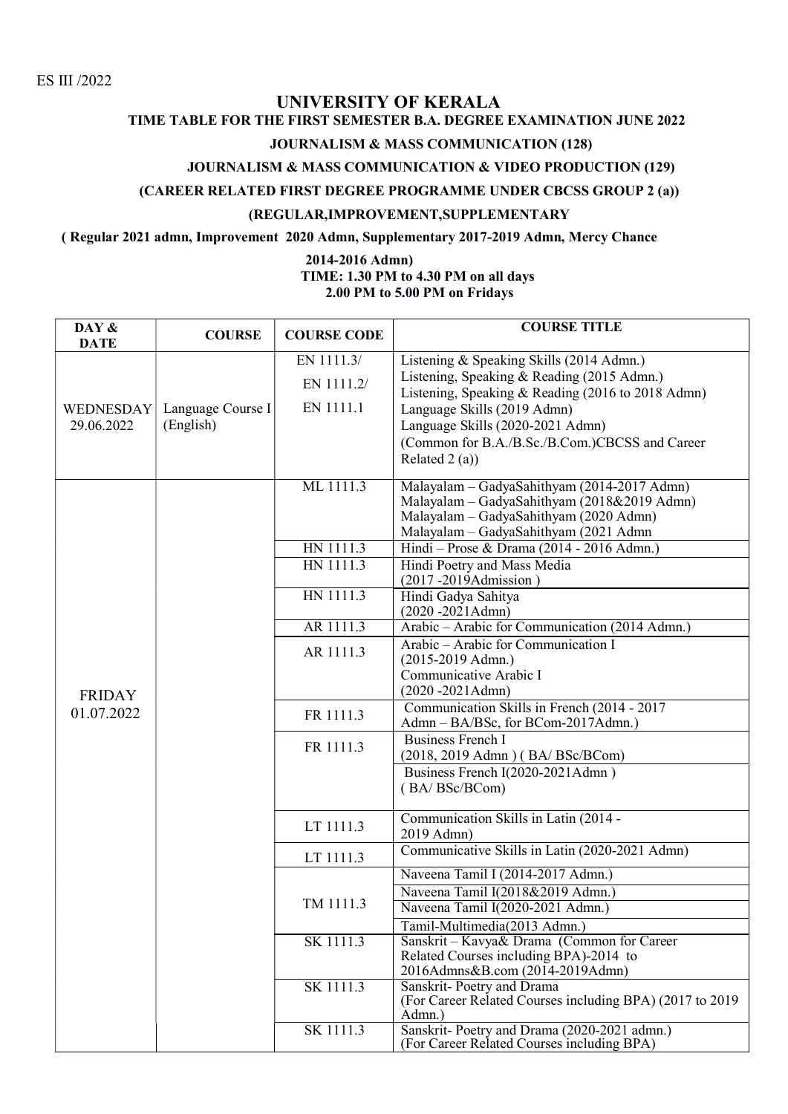### UNIVERSITY OF KERALA

# TIME TABLE FOR THE FIRST SEMESTER B.A. DEGREE EXAMINATION JUNE 2022

### JOURNALISM & MASS COMMUNICATION (128)

### JOURNALISM & MASS COMMUNICATION & VIDEO PRODUCTION (129)

#### (CAREER RELATED FIRST DEGREE PROGRAMME UNDER CBCSS GROUP 2 (a))

#### (REGULAR,IMPROVEMENT,SUPPLEMENTARY

#### ( Regular 2021 admn, Improvement 2020 Admn, Supplementary 2017-2019 Admn, Mercy Chance

#### 2014-2016 Admn) TIME: 1.30 PM to 4.30 PM on all days 2.00 PM to 5.00 PM on Fridays

| DAY &<br><b>DATE</b>           | <b>COURSE</b>                  | <b>COURSE CODE</b> | <b>COURSE TITLE</b>                                                                  |
|--------------------------------|--------------------------------|--------------------|--------------------------------------------------------------------------------------|
| <b>WEDNESDAY</b><br>29.06.2022 |                                | EN 1111.3/         | Listening & Speaking Skills (2014 Admn.)                                             |
|                                |                                | EN 1111.2/         | Listening, Speaking & Reading (2015 Admn.)                                           |
|                                | Language Course I<br>(English) |                    | Listening, Speaking & Reading (2016 to 2018 Admn)                                    |
|                                |                                | EN 1111.1          | Language Skills (2019 Admn)                                                          |
|                                |                                |                    | Language Skills (2020-2021 Admn)                                                     |
|                                |                                |                    | (Common for B.A./B.Sc./B.Com.)CBCSS and Career                                       |
|                                |                                |                    | Related $2(a)$ )                                                                     |
|                                |                                | ML 1111.3          | Malayalam - GadyaSahithyam (2014-2017 Admn)                                          |
|                                |                                |                    | Malayalam - GadyaSahithyam (2018&2019 Admn)                                          |
|                                |                                |                    | Malayalam - GadyaSahithyam (2020 Admn)                                               |
|                                |                                |                    | Malayalam - GadyaSahithyam (2021 Admn                                                |
| <b>FRIDAY</b><br>01.07.2022    |                                | HN 1111.3          | Hindi - Prose & Drama (2014 - 2016 Admn.)                                            |
|                                |                                | HN 1111.3          | Hindi Poetry and Mass Media                                                          |
|                                |                                |                    | $(2017 - 2019)$ Admission)                                                           |
|                                |                                | HN 1111.3          | Hindi Gadya Sahitya<br>$(2020 - 2021$ Admn)                                          |
|                                |                                | AR 1111.3          | Arabic - Arabic for Communication (2014 Admn.)                                       |
|                                |                                |                    | Arabic - Arabic for Communication I                                                  |
|                                |                                | AR 1111.3          | $(2015-2019$ Admn.)                                                                  |
|                                |                                |                    | Communicative Arabic I                                                               |
|                                |                                |                    | $(2020 - 2021$ Admn $)$                                                              |
|                                |                                | FR 1111.3          | Communication Skills in French (2014 - 2017                                          |
|                                |                                |                    | Admn - BA/BSc, for BCom-2017Admn.)                                                   |
|                                |                                | FR 1111.3          | <b>Business French I</b>                                                             |
|                                |                                |                    | (2018, 2019 Admn) (BA/BSc/BCom)                                                      |
|                                |                                |                    | Business French I(2020-2021Admn)<br>(BA/BSc/BCom)                                    |
|                                |                                |                    |                                                                                      |
|                                |                                | LT 1111.3          | Communication Skills in Latin (2014 -                                                |
|                                |                                |                    | 2019 Admn)                                                                           |
|                                |                                | LT 1111.3          | Communicative Skills in Latin (2020-2021 Admn)                                       |
|                                |                                |                    | Naveena Tamil I (2014-2017 Admn.)                                                    |
|                                |                                | TM 1111.3          | Naveena Tamil I(2018&2019 Admn.)                                                     |
|                                |                                |                    | Naveena Tamil I(2020-2021 Admn.)                                                     |
|                                |                                |                    | Tamil-Multimedia(2013 Admn.)                                                         |
|                                |                                | SK 1111.3          | Sanskrit - Kavya& Drama (Common for Career<br>Related Courses including BPA)-2014 to |
|                                |                                |                    | 2016Admns&B.com (2014-2019Admn)                                                      |
|                                |                                | SK 1111.3          | Sanskrit-Poetry and Drama                                                            |
|                                |                                |                    | (For Career Related Courses including BPA) (2017 to 2019)                            |
|                                |                                |                    | Admn.)                                                                               |
|                                |                                | SK 1111.3          | Sanskrit-Poetry and Drama (2020-2021 admn.)                                          |
|                                |                                |                    | (For Career Related Courses including BPA)                                           |